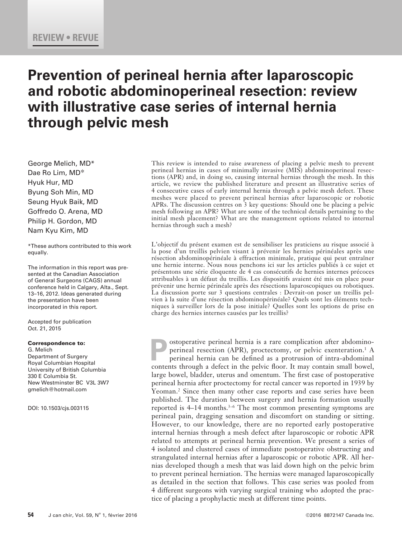# **Prevention of perineal hernia after laparoscopic and robotic abdominoperineal resection: review with illustrative case series of internal hernia through pelvic mesh**

George Melich, MD\* Dae Ro Lim, MD\* Hyuk Hur, MD Byung Soh Min, MD Seung Hyuk Baik, MD Goffredo O. Arena, MD Philip H. Gordon, MD Nam Kyu Kim, MD

\*These authors contributed to this work equally.

The information in this report was presented at the Canadian Association of General Surgeons (CAGS) annual conference held in Calgary, Alta., Sept. 13–16, 2012. Ideas generated during the presentation have been incorporated in this report.

Accepted for publication Oct. 21, 2015

#### Correspondence to:

G. Melich Department of Surgery Royal Columbian Hospital University of British Columbia 330 E Columbia St. New Westminster BC V3L 3W7 gmelich@hotmail.com

DOI: 10.1503/cjs.003115

This review is intended to raise awareness of placing a pelvic mesh to prevent perineal hernias in cases of minimally invasive (MIS) abdominoperineal resections (APR) and, in doing so, causing internal hernias through the mesh. In this article, we review the published literature and present an illustrative series of 4 consecutive cases of early internal hernia through a pelvic mesh defect. These meshes were placed to prevent perineal hernias after laparoscopic or robotic APRs. The discussion centres on 3 key questions: Should one be placing a pelvic mesh following an APR? What are some of the technical details pertaining to the initial mesh placement? What are the management options related to internal hernias through such a mesh?

L'objectif du présent examen est de sensibiliser les praticiens au risque associé à la pose d'un treillis pelvien visant à prévenir les hernies périnéales après une résection abdominopérinéale à effraction minimale, pratique qui peut entraîner une hernie interne. Nous nous penchons ici sur les articles publiés à ce sujet et présentons une série éloquente de 4 cas consécutifs de hernies internes précoces attribuables à un défaut du treillis. Les dispositifs avaient été mis en place pour prévenir une hernie périnéale après des résections laparoscopiques ou robotiques. La discussion porte sur 3 questions centrales : Devrait-on poser un treillis pelvien à la suite d'une résection abdominopérinéale? Quels sont les éléments techniques à surveiller lors de la pose initiale? Quelles sont les options de prise en charge des hernies internes causées par les treillis?

**Postoperative perineal hernia is a rare complication after abdomino-<br>perineal resection (APR), proctectomy, or pelvic exenteration.<sup>1</sup> A<br>perineal hernia can be defined as a protrusion of intra-abdominal<br>contents through a** perineal resection (APR), proctectomy, or pelvic exenteration.<sup>1</sup> A perineal hernia can be defined as a protrusion of intra-abdominal contents through a defect in the pelvic floor. It may contain small bowel, large bowel, bladder, uterus and omentum. The first case of postoperative perineal hernia after proctectomy for rectal cancer was reported in 1939 by Yeoman.<sup>2</sup> Since then many other case reports and case series have been published. The duration between surgery and hernia formation usually reported is 4–14 months.<sup>3–6</sup> The most common presenting symptoms are perineal pain, dragging sensation and discomfort on standing or sitting. However, to our knowledge, there are no reported early postoperative internal hernias through a mesh defect after laparoscopic or robotic APR related to attempts at perineal hernia prevention. We present a series of 4 isolated and clustered cases of immediate postoperative obstructing and strangulated internal hernias after a laparoscopic or robotic APR. All hernias developed though a mesh that was laid down high on the pelvic brim to prevent perineal herniation. The hernias were managed laparoscopically as detailed in the section that follows. This case series was pooled from 4 different surgeons with varying surgical training who adopted the practice of placing a prophylactic mesh at different time points.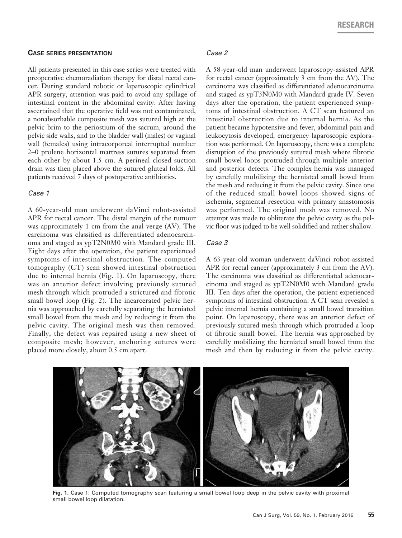#### **Case series presentation**

All patients presented in this case series were treated with preoperative chemoradiation therapy for distal rectal cancer. During standard robotic or laparoscopic cylindrical APR surgery, attention was paid to avoid any spillage of intestinal content in the abdominal cavity. After having ascertained that the operative field was not contaminated, a nonabsorbable composite mesh was sutured high at the pelvic brim to the periostium of the sacrum, around the pelvic side walls, and to the bladder wall (males) or vaginal wall (females) using intracorporeal interrupted number 2–0 prolene horizontal mattress sutures separated from each other by about 1.5 cm. A perineal closed suction drain was then placed above the sutured gluteal folds. All patients received 7 days of postoperative antibiotics.

## *Case 1*

A 60-year-old man underwent daVinci robot-assisted APR for rectal cancer. The distal margin of the tumour was approximately 1 cm from the anal verge (AV). The carcinoma was classified as differentiated adenocarcinoma and staged as ypT2N0M0 with Mandard grade III. Eight days after the operation, the patient experienced symptoms of intestinal obstruction. The computed tomography (CT) scan showed intestinal obstruction due to internal hernia (Fig. 1). On laparoscopy, there was an anterior defect involving previously sutured mesh through which protruded a strictured and fibrotic small bowel loop (Fig. 2). The incarcerated pelvic hernia was approached by carefully separating the herniated small bowel from the mesh and by reducing it from the pelvic cavity. The original mesh was then removed. Finally, the defect was repaired using a new sheet of composite mesh; however, anchoring sutures were placed more closely, about 0.5 cm apart.

#### *Case 2*

A 58-year-old man underwent laparoscopy-assisted APR for rectal cancer (approximately 3 cm from the AV). The carcinoma was classified as differentiated adenocarcinoma and staged as ypT3N0M0 with Mandard grade IV. Seven days after the operation, the patient experienced symptoms of intestinal obstruction. A CT scan featured an intestinal obstruction due to internal hernia. As the patient became hypotensive and fever, abdominal pain and leukocytosis developed, emergency laparoscopic exploration was performed. On laparoscopy, there was a complete disruption of the previously sutured mesh where fibrotic small bowel loops protruded through multiple anterior and posterior defects. The complex hernia was managed by carefully mobilizing the herniated small bowel from the mesh and reducing it from the pelvic cavity. Since one of the reduced small bowel loops showed signs of ischemia, segmental resection with primary anastomosis was performed. The original mesh was removed. No attempt was made to obliterate the pelvic cavity as the pelvic floor was judged to be well solidified and rather shallow.

### *Case 3*

A 63-year-old woman underwent daVinci robot-assisted APR for rectal cancer (approximately 3 cm from the AV). The carcinoma was classified as differentiated adenocarcinoma and staged as ypT2N0M0 with Mandard grade III. Ten days after the operation, the patient experienced symptoms of intestinal obstruction. A CT scan revealed a pelvic internal hernia containing a small bowel transition point. On laparoscopy, there was an anterior defect of previously sutured mesh through which protruded a loop of fibrotic small bowel. The hernia was approached by carefully mobilizing the herniated small bowel from the mesh and then by reducing it from the pelvic cavity.



**Fig. 1.** Case 1: Computed tomography scan featuring a small bowel loop deep in the pelvic cavity with proximal small bowel loop dilatation.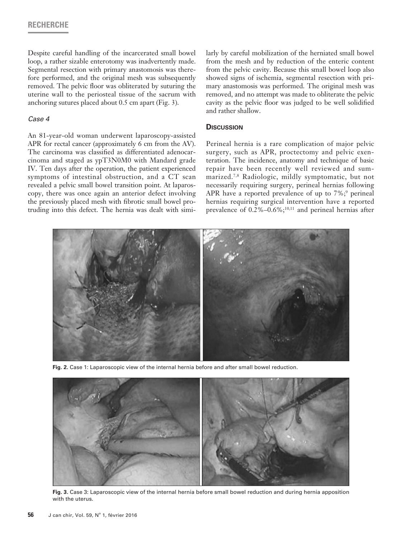## **RECHERCHE**

Despite careful handling of the incarcerated small bowel loop, a rather sizable enterotomy was inadvertently made. Segmental resection with primary anastomosis was therefore performed, and the original mesh was subsequently removed. The pelvic floor was obliterated by suturing the uterine wall to the periosteal tissue of the sacrum with anchoring sutures placed about 0.5 cm apart (Fig. 3).

## *Case 4*

An 81-year-old woman underwent laparoscopy-assisted APR for rectal cancer (approximately 6 cm from the AV). The carcinoma was classified as differentiated adenocarcinoma and staged as ypT3N0M0 with Mandard grade IV. Ten days after the operation, the patient experienced symptoms of intestinal obstruction, and a CT scan revealed a pelvic small bowel transition point. At laparoscopy, there was once again an anterior defect involving the previously placed mesh with fibrotic small bowel protruding into this defect. The hernia was dealt with similarly by careful mobilization of the herniated small bowel from the mesh and by reduction of the enteric content from the pelvic cavity. Because this small bowel loop also showed signs of ischemia, segmental resection with primary anastomosis was performed. The original mesh was removed, and no attempt was made to obliterate the pelvic cavity as the pelvic floor was judged to be well solidified and rather shallow.

## **Discussion**

Perineal hernia is a rare complication of major pelvic surgery, such as APR, proctectomy and pelvic exenteration. The incidence, anatomy and technique of basic repair have been recently well reviewed and summarized.7,8 Radiologic, mildly symptomatic, but not necessarily requiring surgery, perineal hernias following APR have a reported prevalence of up to  $7\%$ ; perineal hernias requiring surgical intervention have a reported prevalence of  $0.2\%$ – $0.6\%$ ;<sup>10,11</sup> and perineal hernias after



**Fig. 2.** Case 1: Laparoscopic view of the internal hernia before and after small bowel reduction.



**Fig. 3.** Case 3: Laparoscopic view of the internal hernia before small bowel reduction and during hernia apposition with the uterus.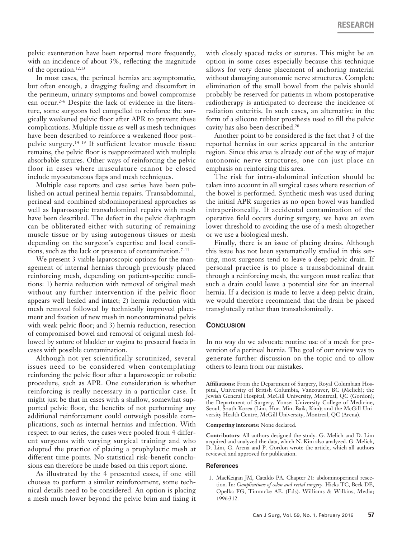pelvic exenteration have been reported more frequently, with an incidence of about 3%, reflecting the magnitude of the operation.<sup>12,13</sup>

In most cases, the perineal hernias are asymptomatic, but often enough, a dragging feeling and discomfort in the perineum, urinary symptoms and bowel compromise can occur.<sup>2–6</sup> Despite the lack of evidence in the literature, some surgeons feel compelled to reinforce the surgically weakened pelvic floor after APR to prevent these complications. Multiple tissue as well as mesh techniques have been described to reinforce a weakened floor postpelvic surgery.14–19 If sufficient levator muscle tissue remains, the pelvic floor is reapproximated with multiple absorbable sutures. Other ways of reinforcing the pelvic floor in cases where musculature cannot be closed include myocutaneous flaps and mesh techniques.

Multiple case reports and case series have been published on actual perineal hernia repairs. Transabdominal, perineal and combined abdominoperineal approaches as well as laparoscopic transabdominal repairs with mesh have been described. The defect in the pelvic diaphragm can be obliterated either with suturing of remaining muscle tissue or by using autogenous tissues or mesh depending on the surgeon's expertise and local conditions, such as the lack or presence of contamination.<sup>7-11</sup>

We present 3 viable laparoscopic options for the management of internal hernias through previously placed reinforcing mesh, depending on patient-specific conditions: 1) hernia reduction with removal of original mesh without any further intervention if the pelvic floor appears well healed and intact; 2) hernia reduction with mesh removal followed by technically improved placement and fixation of new mesh in noncontaminated pelvis with weak pelvic floor; and 3) hernia reduction, resection of compromised bowel and removal of original mesh followed by suture of bladder or vagina to presacral fascia in cases with possible contamination.

Although not yet scientifically scrutinized, several issues need to be considered when contemplating reinforcing the pelvic floor after a laparoscopic or robotic procedure, such as APR. One consideration is whether reinforcing is really necessary in a particular case. It might just be that in cases with a shallow, somewhat supported pelvic floor, the benefits of not performing any additional reinforcement could outweigh possible complications, such as internal hernias and infection. With respect to our series, the cases were pooled from 4 different surgeons with varying surgical training and who adopted the practice of placing a prophylactic mesh at different time points. No statistical risk–benefit conclusions can therefore be made based on this report alone.

As illustrated by the 4 presented cases, if one still chooses to perform a similar reinforcement, some technical details need to be considered. An option is placing a mesh much lower beyond the pelvic brim and fixing it with closely spaced tacks or sutures. This might be an option in some cases especially because this technique allows for very dense placement of anchoring material without damaging autonomic nerve structures. Complete elimination of the small bowel from the pelvis should probably be reserved for patients in whom postoperative radiotherapy is anticipated to decrease the incidence of radiation enteritis. In such cases, an alternative in the form of a silicone rubber prosthesis used to fill the pelvic cavity has also been described.20

Another point to be considered is the fact that 3 of the reported hernias in our series appeared in the anterior region. Since this area is already out of the way of major autonomic nerve structures, one can just place an emphasis on reinforcing this area.

The risk for intra-abdominal infection should be taken into account in all surgical cases where resection of the bowel is performed. Synthetic mesh was used during the initial APR surgeries as no open bowel was handled intraperitoneally. If accidental contamination of the operative field occurs during surgery, we have an even lower threshold to avoiding the use of a mesh altogether or we use a biological mesh.

Finally, there is an issue of placing drains. Although this issue has not been systematically studied in this setting, most surgeons tend to leave a deep pelvic drain. If personal practice is to place a transabdominal drain through a reinforcing mesh, the surgeon must realize that such a drain could leave a potential site for an internal hernia. If a decision is made to leave a deep pelvic drain, we would therefore recommend that the drain be placed transgluteally rather than transabdominally.

#### **Conclusion**

In no way do we advocate routine use of a mesh for prevention of a perineal hernia. The goal of our review was to generate further discussion on the topic and to allow others to learn from our mistakes.

**Affiliations:** From the Department of Surgery, Royal Columbian Hospital, University of British Columbia, Vancouver, BC (Melich); the Jewish General Hospital, McGill University, Montreal, QC (Gordon); the Department of Surgery, Yonsei University College of Medicine, Seoul, South Korea (Lim, Hur, Min, Baik, Kim); and the McGill University Health Centre, McGill University, Montreal, QC (Arena).

## **Competing interests:** None declared.

**Contributors**: All authors designed the study. G. Melich and D. Lim acquired and analyzed the data, which N. Kim also analyzed. G. Melich, D. Lim, G. Arena and P. Gordon wrote the article, which all authors reviewed and approved for publication.

#### **References**

1. MacKeigan JM, Cataldo PA. Chapter 21: abdominoperineal resection. In: *Complications of colon and rectal surgery*. Hicks TC, Beck DE, Opelka FG, Timmcke AE. (Eds). Williams & Wilkins, Media; 1996:312.